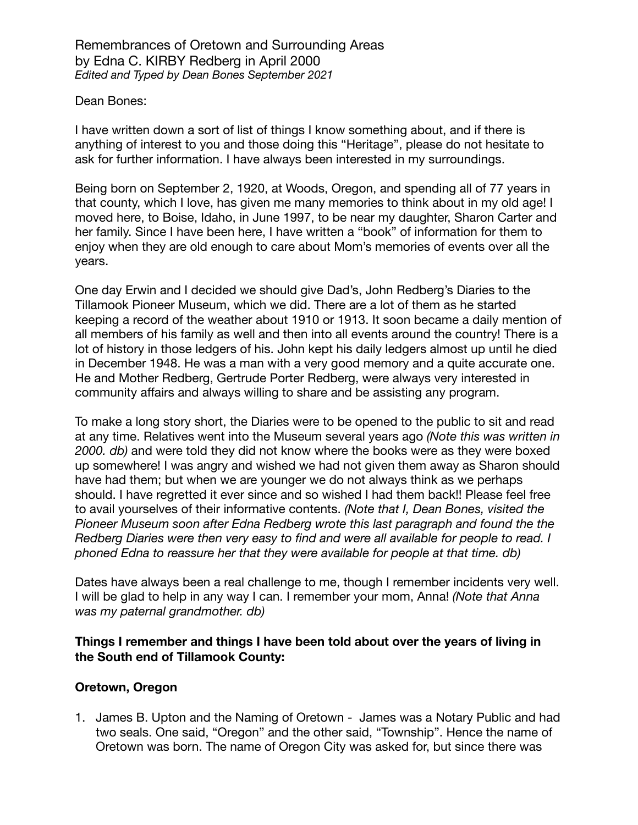#### Dean Bones:

I have written down a sort of list of things I know something about, and if there is anything of interest to you and those doing this "Heritage", please do not hesitate to ask for further information. I have always been interested in my surroundings.

Being born on September 2, 1920, at Woods, Oregon, and spending all of 77 years in that county, which I love, has given me many memories to think about in my old age! I moved here, to Boise, Idaho, in June 1997, to be near my daughter, Sharon Carter and her family. Since I have been here, I have written a "book" of information for them to enjoy when they are old enough to care about Mom's memories of events over all the years.

One day Erwin and I decided we should give Dad's, John Redberg's Diaries to the Tillamook Pioneer Museum, which we did. There are a lot of them as he started keeping a record of the weather about 1910 or 1913. It soon became a daily mention of all members of his family as well and then into all events around the country! There is a lot of history in those ledgers of his. John kept his daily ledgers almost up until he died in December 1948. He was a man with a very good memory and a quite accurate one. He and Mother Redberg, Gertrude Porter Redberg, were always very interested in community affairs and always willing to share and be assisting any program.

To make a long story short, the Diaries were to be opened to the public to sit and read at any time. Relatives went into the Museum several years ago *(Note this was written in 2000. db)* and were told they did not know where the books were as they were boxed up somewhere! I was angry and wished we had not given them away as Sharon should have had them; but when we are younger we do not always think as we perhaps should. I have regretted it ever since and so wished I had them back!! Please feel free to avail yourselves of their informative contents. *(Note that I, Dean Bones, visited the Pioneer Museum soon after Edna Redberg wrote this last paragraph and found the the Redberg Diaries were then very easy to find and were all available for people to read. I phoned Edna to reassure her that they were available for people at that time. db)*

Dates have always been a real challenge to me, though I remember incidents very well. I will be glad to help in any way I can. I remember your mom, Anna! *(Note that Anna was my paternal grandmother. db)* 

### **Things I remember and things I have been told about over the years of living in the South end of Tillamook County:**

#### **Oretown, Oregon**

1. James B. Upton and the Naming of Oretown - James was a Notary Public and had two seals. One said, "Oregon" and the other said, "Township". Hence the name of Oretown was born. The name of Oregon City was asked for, but since there was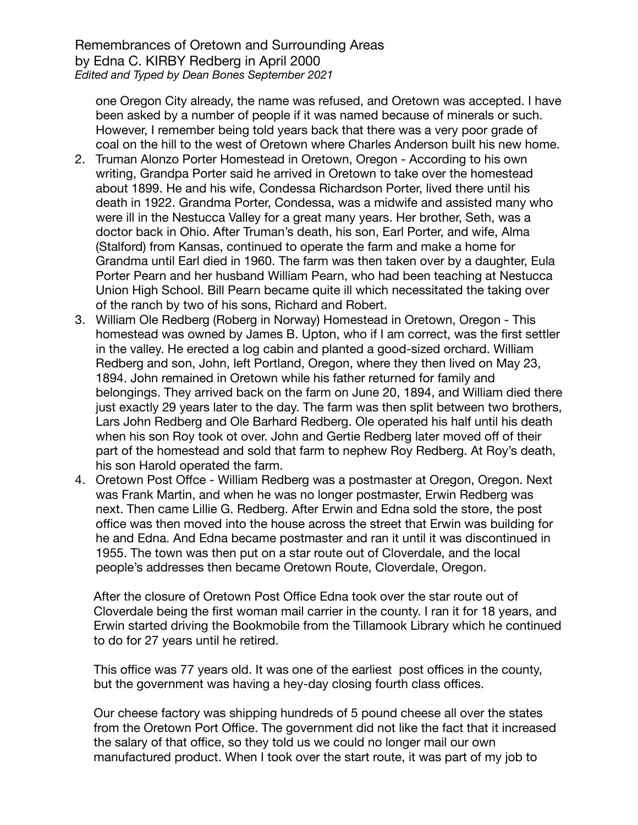one Oregon City already, the name was refused, and Oretown was accepted. I have been asked by a number of people if it was named because of minerals or such. However, I remember being told years back that there was a very poor grade of coal on the hill to the west of Oretown where Charles Anderson built his new home.

- 2. Truman Alonzo Porter Homestead in Oretown, Oregon According to his own writing, Grandpa Porter said he arrived in Oretown to take over the homestead about 1899. He and his wife, Condessa Richardson Porter, lived there until his death in 1922. Grandma Porter, Condessa, was a midwife and assisted many who were ill in the Nestucca Valley for a great many years. Her brother, Seth, was a doctor back in Ohio. After Truman's death, his son, Earl Porter, and wife, Alma (Stalford) from Kansas, continued to operate the farm and make a home for Grandma until Earl died in 1960. The farm was then taken over by a daughter, Eula Porter Pearn and her husband William Pearn, who had been teaching at Nestucca Union High School. Bill Pearn became quite ill which necessitated the taking over of the ranch by two of his sons, Richard and Robert.
- 3. William Ole Redberg (Roberg in Norway) Homestead in Oretown, Oregon This homestead was owned by James B. Upton, who if I am correct, was the first settler in the valley. He erected a log cabin and planted a good-sized orchard. William Redberg and son, John, left Portland, Oregon, where they then lived on May 23, 1894. John remained in Oretown while his father returned for family and belongings. They arrived back on the farm on June 20, 1894, and William died there just exactly 29 years later to the day. The farm was then split between two brothers, Lars John Redberg and Ole Barhard Redberg. Ole operated his half until his death when his son Roy took ot over. John and Gertie Redberg later moved off of their part of the homestead and sold that farm to nephew Roy Redberg. At Roy's death, his son Harold operated the farm.
- 4. Oretown Post Offce William Redberg was a postmaster at Oregon, Oregon. Next was Frank Martin, and when he was no longer postmaster, Erwin Redberg was next. Then came Lillie G. Redberg. After Erwin and Edna sold the store, the post office was then moved into the house across the street that Erwin was building for he and Edna. And Edna became postmaster and ran it until it was discontinued in 1955. The town was then put on a star route out of Cloverdale, and the local people's addresses then became Oretown Route, Cloverdale, Oregon.

After the closure of Oretown Post Office Edna took over the star route out of Cloverdale being the first woman mail carrier in the county. I ran it for 18 years, and Erwin started driving the Bookmobile from the Tillamook Library which he continued to do for 27 years until he retired.

This office was 77 years old. It was one of the earliest post offices in the county, but the government was having a hey-day closing fourth class offices.

Our cheese factory was shipping hundreds of 5 pound cheese all over the states from the Oretown Port Office. The government did not like the fact that it increased the salary of that office, so they told us we could no longer mail our own manufactured product. When I took over the start route, it was part of my job to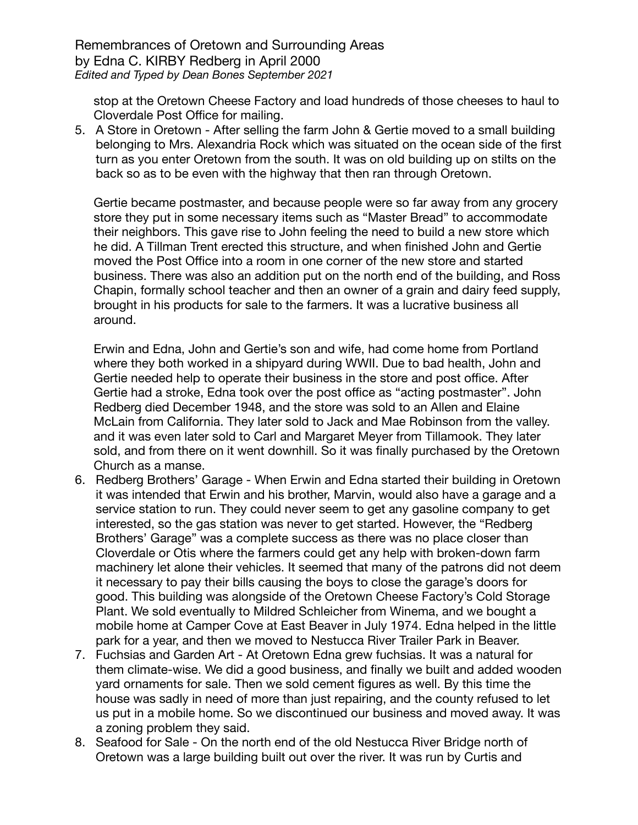stop at the Oretown Cheese Factory and load hundreds of those cheeses to haul to Cloverdale Post Office for mailing.

5. A Store in Oretown - After selling the farm John & Gertie moved to a small building belonging to Mrs. Alexandria Rock which was situated on the ocean side of the first turn as you enter Oretown from the south. It was on old building up on stilts on the back so as to be even with the highway that then ran through Oretown.

Gertie became postmaster, and because people were so far away from any grocery store they put in some necessary items such as "Master Bread" to accommodate their neighbors. This gave rise to John feeling the need to build a new store which he did. A Tillman Trent erected this structure, and when finished John and Gertie moved the Post Office into a room in one corner of the new store and started business. There was also an addition put on the north end of the building, and Ross Chapin, formally school teacher and then an owner of a grain and dairy feed supply, brought in his products for sale to the farmers. It was a lucrative business all around.

Erwin and Edna, John and Gertie's son and wife, had come home from Portland where they both worked in a shipyard during WWII. Due to bad health, John and Gertie needed help to operate their business in the store and post office. After Gertie had a stroke, Edna took over the post office as "acting postmaster". John Redberg died December 1948, and the store was sold to an Allen and Elaine McLain from California. They later sold to Jack and Mae Robinson from the valley. and it was even later sold to Carl and Margaret Meyer from Tillamook. They later sold, and from there on it went downhill. So it was finally purchased by the Oretown Church as a manse.

- 6. Redberg Brothers' Garage When Erwin and Edna started their building in Oretown it was intended that Erwin and his brother, Marvin, would also have a garage and a service station to run. They could never seem to get any gasoline company to get interested, so the gas station was never to get started. However, the "Redberg Brothers' Garage" was a complete success as there was no place closer than Cloverdale or Otis where the farmers could get any help with broken-down farm machinery let alone their vehicles. It seemed that many of the patrons did not deem it necessary to pay their bills causing the boys to close the garage's doors for good. This building was alongside of the Oretown Cheese Factory's Cold Storage Plant. We sold eventually to Mildred Schleicher from Winema, and we bought a mobile home at Camper Cove at East Beaver in July 1974. Edna helped in the little park for a year, and then we moved to Nestucca River Trailer Park in Beaver.
- 7. Fuchsias and Garden Art At Oretown Edna grew fuchsias. It was a natural for them climate-wise. We did a good business, and finally we built and added wooden yard ornaments for sale. Then we sold cement figures as well. By this time the house was sadly in need of more than just repairing, and the county refused to let us put in a mobile home. So we discontinued our business and moved away. It was a zoning problem they said.
- 8. Seafood for Sale On the north end of the old Nestucca River Bridge north of Oretown was a large building built out over the river. It was run by Curtis and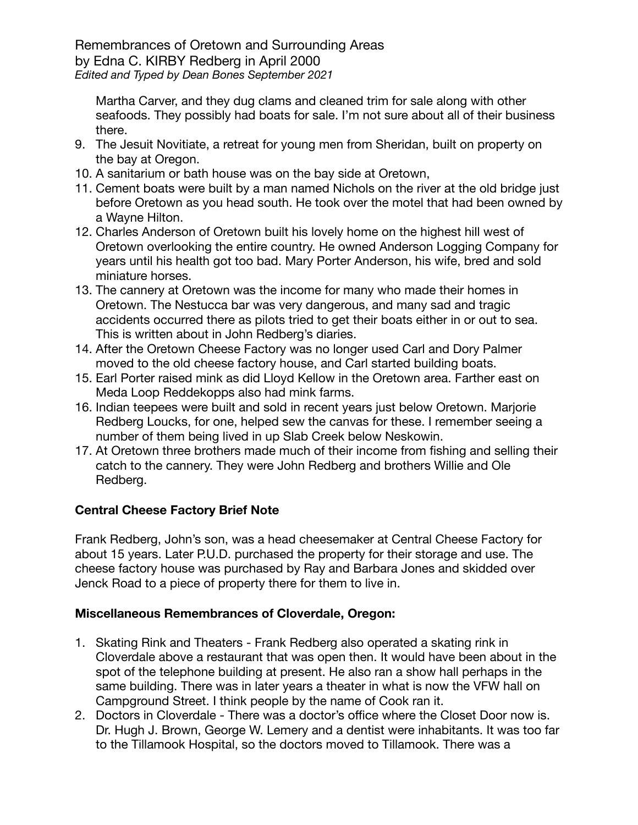Martha Carver, and they dug clams and cleaned trim for sale along with other seafoods. They possibly had boats for sale. I'm not sure about all of their business there.

- 9. The Jesuit Novitiate, a retreat for young men from Sheridan, built on property on the bay at Oregon.
- 10. A sanitarium or bath house was on the bay side at Oretown,
- 11. Cement boats were built by a man named Nichols on the river at the old bridge just before Oretown as you head south. He took over the motel that had been owned by a Wayne Hilton.
- 12. Charles Anderson of Oretown built his lovely home on the highest hill west of Oretown overlooking the entire country. He owned Anderson Logging Company for years until his health got too bad. Mary Porter Anderson, his wife, bred and sold miniature horses.
- 13. The cannery at Oretown was the income for many who made their homes in Oretown. The Nestucca bar was very dangerous, and many sad and tragic accidents occurred there as pilots tried to get their boats either in or out to sea. This is written about in John Redberg's diaries.
- 14. After the Oretown Cheese Factory was no longer used Carl and Dory Palmer moved to the old cheese factory house, and Carl started building boats.
- 15. Earl Porter raised mink as did Lloyd Kellow in the Oretown area. Farther east on Meda Loop Reddekopps also had mink farms.
- 16. Indian teepees were built and sold in recent years just below Oretown. Marjorie Redberg Loucks, for one, helped sew the canvas for these. I remember seeing a number of them being lived in up Slab Creek below Neskowin.
- 17. At Oretown three brothers made much of their income from fishing and selling their catch to the cannery. They were John Redberg and brothers Willie and Ole Redberg.

# **Central Cheese Factory Brief Note**

Frank Redberg, John's son, was a head cheesemaker at Central Cheese Factory for about 15 years. Later P.U.D. purchased the property for their storage and use. The cheese factory house was purchased by Ray and Barbara Jones and skidded over Jenck Road to a piece of property there for them to live in.

# **Miscellaneous Remembrances of Cloverdale, Oregon:**

- 1. Skating Rink and Theaters Frank Redberg also operated a skating rink in Cloverdale above a restaurant that was open then. It would have been about in the spot of the telephone building at present. He also ran a show hall perhaps in the same building. There was in later years a theater in what is now the VFW hall on Campground Street. I think people by the name of Cook ran it.
- 2. Doctors in Cloverdale There was a doctor's office where the Closet Door now is. Dr. Hugh J. Brown, George W. Lemery and a dentist were inhabitants. It was too far to the Tillamook Hospital, so the doctors moved to Tillamook. There was a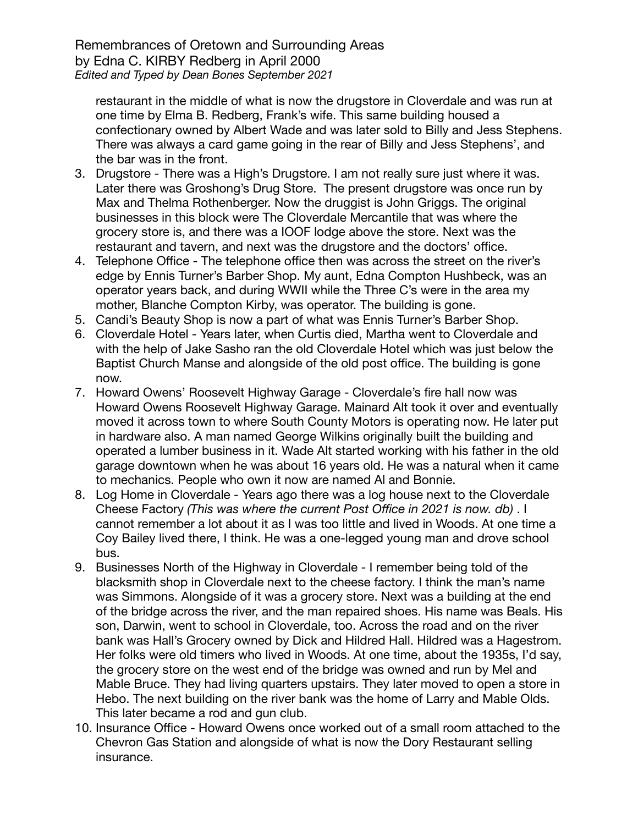restaurant in the middle of what is now the drugstore in Cloverdale and was run at one time by Elma B. Redberg, Frank's wife. This same building housed a confectionary owned by Albert Wade and was later sold to Billy and Jess Stephens. There was always a card game going in the rear of Billy and Jess Stephens', and the bar was in the front.

- 3. Drugstore There was a High's Drugstore. I am not really sure just where it was. Later there was Groshong's Drug Store. The present drugstore was once run by Max and Thelma Rothenberger. Now the druggist is John Griggs. The original businesses in this block were The Cloverdale Mercantile that was where the grocery store is, and there was a IOOF lodge above the store. Next was the restaurant and tavern, and next was the drugstore and the doctors' office.
- 4. Telephone Office The telephone office then was across the street on the river's edge by Ennis Turner's Barber Shop. My aunt, Edna Compton Hushbeck, was an operator years back, and during WWII while the Three C's were in the area my mother, Blanche Compton Kirby, was operator. The building is gone.
- 5. Candi's Beauty Shop is now a part of what was Ennis Turner's Barber Shop.
- 6. Cloverdale Hotel Years later, when Curtis died, Martha went to Cloverdale and with the help of Jake Sasho ran the old Cloverdale Hotel which was just below the Baptist Church Manse and alongside of the old post office. The building is gone now.
- 7. Howard Owens' Roosevelt Highway Garage Cloverdale's fire hall now was Howard Owens Roosevelt Highway Garage. Mainard Alt took it over and eventually moved it across town to where South County Motors is operating now. He later put in hardware also. A man named George Wilkins originally built the building and operated a lumber business in it. Wade Alt started working with his father in the old garage downtown when he was about 16 years old. He was a natural when it came to mechanics. People who own it now are named Al and Bonnie.
- 8. Log Home in Cloverdale Years ago there was a log house next to the Cloverdale Cheese Factory *(This was where the current Post Office in 2021 is now. db)* . I cannot remember a lot about it as I was too little and lived in Woods. At one time a Coy Bailey lived there, I think. He was a one-legged young man and drove school bus.
- 9. Businesses North of the Highway in Cloverdale I remember being told of the blacksmith shop in Cloverdale next to the cheese factory. I think the man's name was Simmons. Alongside of it was a grocery store. Next was a building at the end of the bridge across the river, and the man repaired shoes. His name was Beals. His son, Darwin, went to school in Cloverdale, too. Across the road and on the river bank was Hall's Grocery owned by Dick and Hildred Hall. Hildred was a Hagestrom. Her folks were old timers who lived in Woods. At one time, about the 1935s, I'd say, the grocery store on the west end of the bridge was owned and run by Mel and Mable Bruce. They had living quarters upstairs. They later moved to open a store in Hebo. The next building on the river bank was the home of Larry and Mable Olds. This later became a rod and gun club.
- 10. Insurance Office Howard Owens once worked out of a small room attached to the Chevron Gas Station and alongside of what is now the Dory Restaurant selling insurance.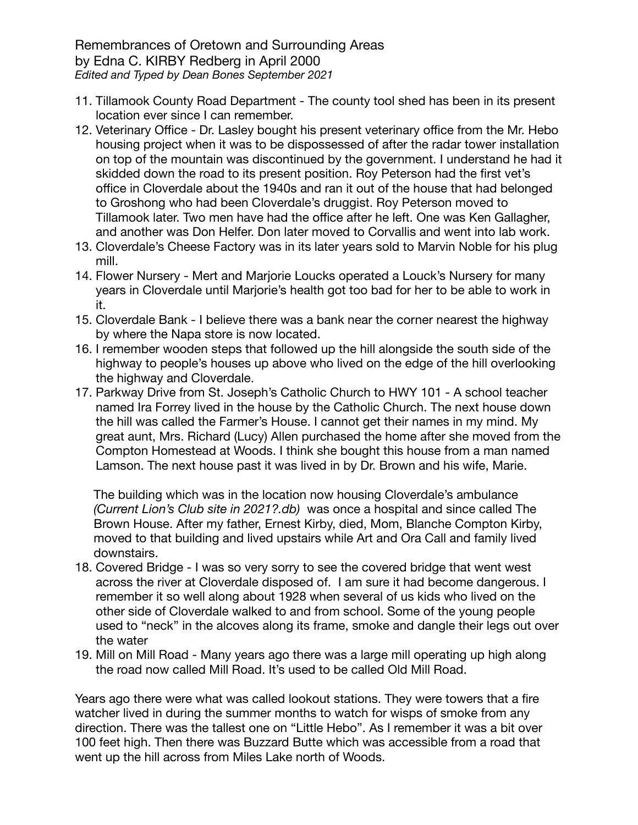- 11. Tillamook County Road Department The county tool shed has been in its present location ever since I can remember.
- 12. Veterinary Office Dr. Lasley bought his present veterinary office from the Mr. Hebo housing project when it was to be dispossessed of after the radar tower installation on top of the mountain was discontinued by the government. I understand he had it skidded down the road to its present position. Roy Peterson had the first vet's office in Cloverdale about the 1940s and ran it out of the house that had belonged to Groshong who had been Cloverdale's druggist. Roy Peterson moved to Tillamook later. Two men have had the office after he left. One was Ken Gallagher, and another was Don Helfer. Don later moved to Corvallis and went into lab work.
- 13. Cloverdale's Cheese Factory was in its later years sold to Marvin Noble for his plug mill.
- 14. Flower Nursery Mert and Marjorie Loucks operated a Louck's Nursery for many years in Cloverdale until Marjorie's health got too bad for her to be able to work in it.
- 15. Cloverdale Bank I believe there was a bank near the corner nearest the highway by where the Napa store is now located.
- 16. I remember wooden steps that followed up the hill alongside the south side of the highway to people's houses up above who lived on the edge of the hill overlooking the highway and Cloverdale.
- 17. Parkway Drive from St. Joseph's Catholic Church to HWY 101 A school teacher named Ira Forrey lived in the house by the Catholic Church. The next house down the hill was called the Farmer's House. I cannot get their names in my mind. My great aunt, Mrs. Richard (Lucy) Allen purchased the home after she moved from the Compton Homestead at Woods. I think she bought this house from a man named Lamson. The next house past it was lived in by Dr. Brown and his wife, Marie.

The building which was in the location now housing Cloverdale's ambulance *(Current Lion's Club site in 2021?.db)* was once a hospital and since called The Brown House. After my father, Ernest Kirby, died, Mom, Blanche Compton Kirby, moved to that building and lived upstairs while Art and Ora Call and family lived downstairs.

- 18. Covered Bridge I was so very sorry to see the covered bridge that went west across the river at Cloverdale disposed of. I am sure it had become dangerous. I remember it so well along about 1928 when several of us kids who lived on the other side of Cloverdale walked to and from school. Some of the young people used to "neck" in the alcoves along its frame, smoke and dangle their legs out over the water
- 19. Mill on Mill Road Many years ago there was a large mill operating up high along the road now called Mill Road. It's used to be called Old Mill Road.

Years ago there were what was called lookout stations. They were towers that a fire watcher lived in during the summer months to watch for wisps of smoke from any direction. There was the tallest one on "Little Hebo". As I remember it was a bit over 100 feet high. Then there was Buzzard Butte which was accessible from a road that went up the hill across from Miles Lake north of Woods.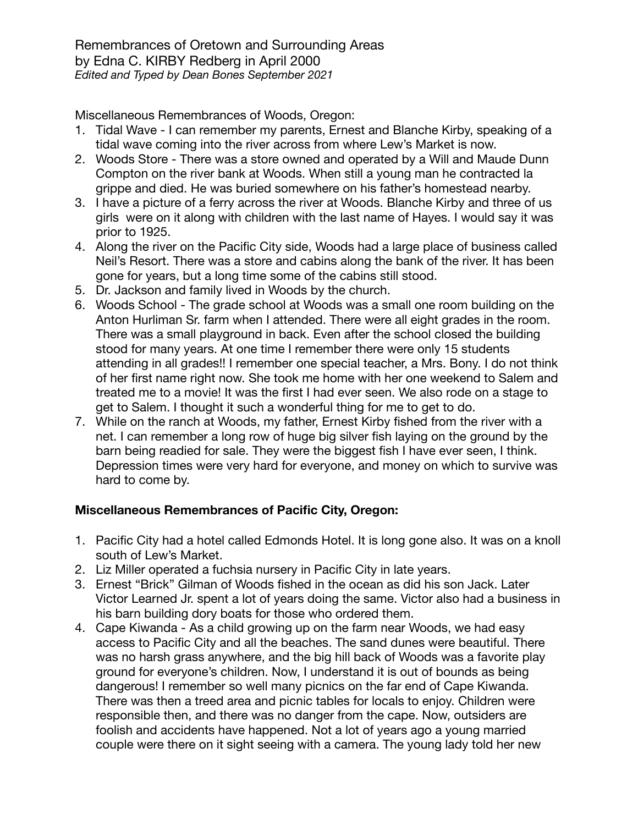Miscellaneous Remembrances of Woods, Oregon:

- 1. Tidal Wave I can remember my parents, Ernest and Blanche Kirby, speaking of a tidal wave coming into the river across from where Lew's Market is now.
- 2. Woods Store There was a store owned and operated by a Will and Maude Dunn Compton on the river bank at Woods. When still a young man he contracted la grippe and died. He was buried somewhere on his father's homestead nearby.
- 3. I have a picture of a ferry across the river at Woods. Blanche Kirby and three of us girls were on it along with children with the last name of Hayes. I would say it was prior to 1925.
- 4. Along the river on the Pacific City side, Woods had a large place of business called Neil's Resort. There was a store and cabins along the bank of the river. It has been gone for years, but a long time some of the cabins still stood.
- 5. Dr. Jackson and family lived in Woods by the church.
- 6. Woods School The grade school at Woods was a small one room building on the Anton Hurliman Sr. farm when I attended. There were all eight grades in the room. There was a small playground in back. Even after the school closed the building stood for many years. At one time I remember there were only 15 students attending in all grades!! I remember one special teacher, a Mrs. Bony. I do not think of her first name right now. She took me home with her one weekend to Salem and treated me to a movie! It was the first I had ever seen. We also rode on a stage to get to Salem. I thought it such a wonderful thing for me to get to do.
- 7. While on the ranch at Woods, my father, Ernest Kirby fished from the river with a net. I can remember a long row of huge big silver fish laying on the ground by the barn being readied for sale. They were the biggest fish I have ever seen, I think. Depression times were very hard for everyone, and money on which to survive was hard to come by.

# **Miscellaneous Remembrances of Pacific City, Oregon:**

- 1. Pacific City had a hotel called Edmonds Hotel. It is long gone also. It was on a knoll south of Lew's Market.
- 2. Liz Miller operated a fuchsia nursery in Pacific City in late years.
- 3. Ernest "Brick" Gilman of Woods fished in the ocean as did his son Jack. Later Victor Learned Jr. spent a lot of years doing the same. Victor also had a business in his barn building dory boats for those who ordered them.
- 4. Cape Kiwanda As a child growing up on the farm near Woods, we had easy access to Pacific City and all the beaches. The sand dunes were beautiful. There was no harsh grass anywhere, and the big hill back of Woods was a favorite play ground for everyone's children. Now, I understand it is out of bounds as being dangerous! I remember so well many picnics on the far end of Cape Kiwanda. There was then a treed area and picnic tables for locals to enjoy. Children were responsible then, and there was no danger from the cape. Now, outsiders are foolish and accidents have happened. Not a lot of years ago a young married couple were there on it sight seeing with a camera. The young lady told her new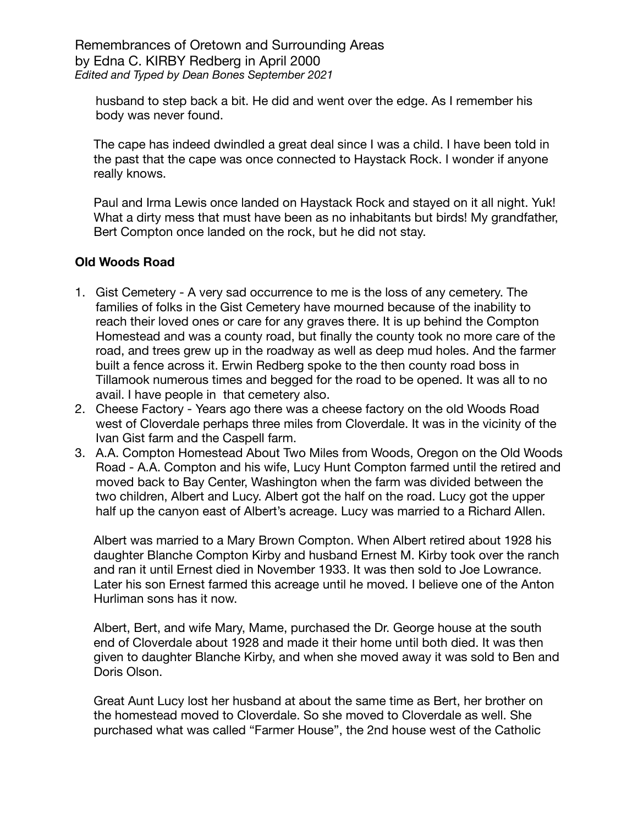husband to step back a bit. He did and went over the edge. As I remember his body was never found.

The cape has indeed dwindled a great deal since I was a child. I have been told in the past that the cape was once connected to Haystack Rock. I wonder if anyone really knows.

Paul and Irma Lewis once landed on Haystack Rock and stayed on it all night. Yuk! What a dirty mess that must have been as no inhabitants but birds! My grandfather, Bert Compton once landed on the rock, but he did not stay.

### **Old Woods Road**

- 1. Gist Cemetery A very sad occurrence to me is the loss of any cemetery. The families of folks in the Gist Cemetery have mourned because of the inability to reach their loved ones or care for any graves there. It is up behind the Compton Homestead and was a county road, but finally the county took no more care of the road, and trees grew up in the roadway as well as deep mud holes. And the farmer built a fence across it. Erwin Redberg spoke to the then county road boss in Tillamook numerous times and begged for the road to be opened. It was all to no avail. I have people in that cemetery also.
- 2. Cheese Factory Years ago there was a cheese factory on the old Woods Road west of Cloverdale perhaps three miles from Cloverdale. It was in the vicinity of the Ivan Gist farm and the Caspell farm.
- 3. A.A. Compton Homestead About Two Miles from Woods, Oregon on the Old Woods Road - A.A. Compton and his wife, Lucy Hunt Compton farmed until the retired and moved back to Bay Center, Washington when the farm was divided between the two children, Albert and Lucy. Albert got the half on the road. Lucy got the upper half up the canyon east of Albert's acreage. Lucy was married to a Richard Allen.

Albert was married to a Mary Brown Compton. When Albert retired about 1928 his daughter Blanche Compton Kirby and husband Ernest M. Kirby took over the ranch and ran it until Ernest died in November 1933. It was then sold to Joe Lowrance. Later his son Ernest farmed this acreage until he moved. I believe one of the Anton Hurliman sons has it now.

Albert, Bert, and wife Mary, Mame, purchased the Dr. George house at the south end of Cloverdale about 1928 and made it their home until both died. It was then given to daughter Blanche Kirby, and when she moved away it was sold to Ben and Doris Olson.

Great Aunt Lucy lost her husband at about the same time as Bert, her brother on the homestead moved to Cloverdale. So she moved to Cloverdale as well. She purchased what was called "Farmer House", the 2nd house west of the Catholic